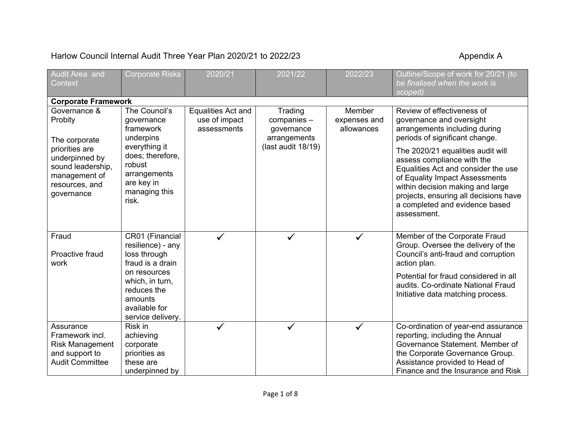## Harlow Council Internal Audit Three Year Plan 2020/21 to 2022/23 Appendix A

| <b>Audit Area and</b>                                                                                                                              | <b>Corporate Risks</b>                                                                                                                                                      | 2020/21                                            | 2021/22                                                                    | 2022/23                              | Outline/Scope of work for 20/21 (to                                                                                                                                                                                                                                                                                                                                                                 |  |  |  |
|----------------------------------------------------------------------------------------------------------------------------------------------------|-----------------------------------------------------------------------------------------------------------------------------------------------------------------------------|----------------------------------------------------|----------------------------------------------------------------------------|--------------------------------------|-----------------------------------------------------------------------------------------------------------------------------------------------------------------------------------------------------------------------------------------------------------------------------------------------------------------------------------------------------------------------------------------------------|--|--|--|
| Context                                                                                                                                            |                                                                                                                                                                             |                                                    |                                                                            |                                      | be finalised when the work is<br>scoped)                                                                                                                                                                                                                                                                                                                                                            |  |  |  |
| <b>Corporate Framework</b>                                                                                                                         |                                                                                                                                                                             |                                                    |                                                                            |                                      |                                                                                                                                                                                                                                                                                                                                                                                                     |  |  |  |
| Governance &<br>Probity<br>The corporate<br>priorities are<br>underpinned by<br>sound leadership,<br>management of<br>resources, and<br>governance | The Council's<br>governance<br>framework<br>underpins<br>everything it<br>does; therefore,<br>robust<br>arrangements<br>are key in<br>managing this<br>risk.                | Equalities Act and<br>use of impact<br>assessments | Trading<br>companies -<br>governance<br>arrangements<br>(last audit 18/19) | Member<br>expenses and<br>allowances | Review of effectiveness of<br>governance and oversight<br>arrangements including during<br>periods of significant change.<br>The 2020/21 equalities audit will<br>assess compliance with the<br>Equalities Act and consider the use<br>of Equality Impact Assessments<br>within decision making and large<br>projects, ensuring all decisions have<br>a completed and evidence based<br>assessment. |  |  |  |
| Fraud<br>Proactive fraud<br>work                                                                                                                   | CR01 (Financial<br>resilience) - any<br>loss through<br>fraud is a drain<br>on resources<br>which, in turn,<br>reduces the<br>amounts<br>available for<br>service delivery. | $\checkmark$                                       | $\checkmark$                                                               | $\checkmark$                         | Member of the Corporate Fraud<br>Group. Oversee the delivery of the<br>Council's anti-fraud and corruption<br>action plan.<br>Potential for fraud considered in all<br>audits. Co-ordinate National Fraud<br>Initiative data matching process.                                                                                                                                                      |  |  |  |
| Assurance<br>Framework incl.<br>Risk Management<br>and support to<br><b>Audit Committee</b>                                                        | Risk in<br>achieving<br>corporate<br>priorities as<br>these are<br>underpinned by                                                                                           | $\checkmark$                                       | $\checkmark$                                                               | $\checkmark$                         | Co-ordination of year-end assurance<br>reporting, including the Annual<br>Governance Statement. Member of<br>the Corporate Governance Group.<br>Assistance provided to Head of<br>Finance and the Insurance and Risk                                                                                                                                                                                |  |  |  |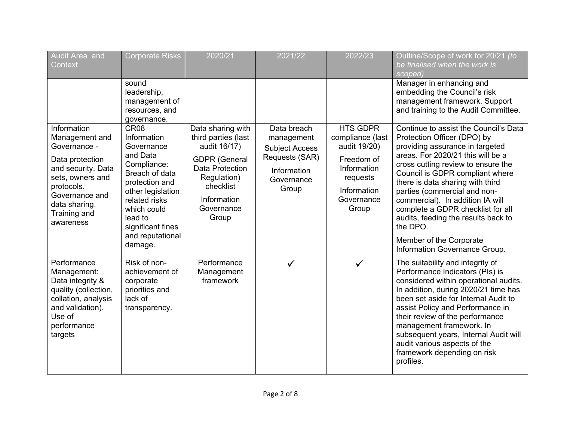| Audit Area and<br>Context                                                                                                                                                                | <b>Corporate Risks</b>                                                                                                                                                                                                           | 2020/21                                                                                                                                                               | 2021/22                                                                                                    | 2022/23                                                                                                                            | Outline/Scope of work for 20/21 (to<br>be finalised when the work is<br>scoped)                                                                                                                                                                                                                                                                                                                                                                                                   |
|------------------------------------------------------------------------------------------------------------------------------------------------------------------------------------------|----------------------------------------------------------------------------------------------------------------------------------------------------------------------------------------------------------------------------------|-----------------------------------------------------------------------------------------------------------------------------------------------------------------------|------------------------------------------------------------------------------------------------------------|------------------------------------------------------------------------------------------------------------------------------------|-----------------------------------------------------------------------------------------------------------------------------------------------------------------------------------------------------------------------------------------------------------------------------------------------------------------------------------------------------------------------------------------------------------------------------------------------------------------------------------|
|                                                                                                                                                                                          | sound<br>leadership,<br>management of<br>resources, and<br>governance.                                                                                                                                                           |                                                                                                                                                                       |                                                                                                            |                                                                                                                                    | Manager in enhancing and<br>embedding the Council's risk<br>management framework. Support<br>and training to the Audit Committee.                                                                                                                                                                                                                                                                                                                                                 |
| Information<br>Management and<br>Governance -<br>Data protection<br>and security. Data<br>sets, owners and<br>protocols.<br>Governance and<br>data sharing.<br>Training and<br>awareness | CR <sub>08</sub><br>Information<br>Governance<br>and Data<br>Compliance:<br>Breach of data<br>protection and<br>other legislation<br>related risks<br>which could<br>lead to<br>significant fines<br>and reputational<br>damage. | Data sharing with<br>third parties (last<br>audit 16/17)<br><b>GDPR</b> (General<br>Data Protection<br>Regulation)<br>checklist<br>Information<br>Governance<br>Group | Data breach<br>management<br><b>Subject Access</b><br>Requests (SAR)<br>Information<br>Governance<br>Group | <b>HTS GDPR</b><br>compliance (last<br>audit 19/20)<br>Freedom of<br>Information<br>requests<br>Information<br>Governance<br>Group | Continue to assist the Council's Data<br>Protection Officer (DPO) by<br>providing assurance in targeted<br>areas. For 2020/21 this will be a<br>cross cutting review to ensure the<br>Council is GDPR compliant where<br>there is data sharing with third<br>parties (commercial and non-<br>commercial). In addition IA will<br>complete a GDPR checklist for all<br>audits, feeding the results back to<br>the DPO.<br>Member of the Corporate<br>Information Governance Group. |
| Performance<br>Management:<br>Data integrity &<br>quality (collection,<br>collation, analysis<br>and validation).<br>Use of<br>performance<br>targets                                    | Risk of non-<br>achievement of<br>corporate<br>priorities and<br>lack of<br>transparency.                                                                                                                                        | Performance<br>Management<br>framework                                                                                                                                | $\checkmark$                                                                                               | $\checkmark$                                                                                                                       | The suitability and integrity of<br>Performance Indicators (PIs) is<br>considered within operational audits.<br>In addition, during 2020/21 time has<br>been set aside for Internal Audit to<br>assist Policy and Performance in<br>their review of the performance<br>management framework. In<br>subsequent years, Internal Audit will<br>audit various aspects of the<br>framework depending on risk<br>profiles.                                                              |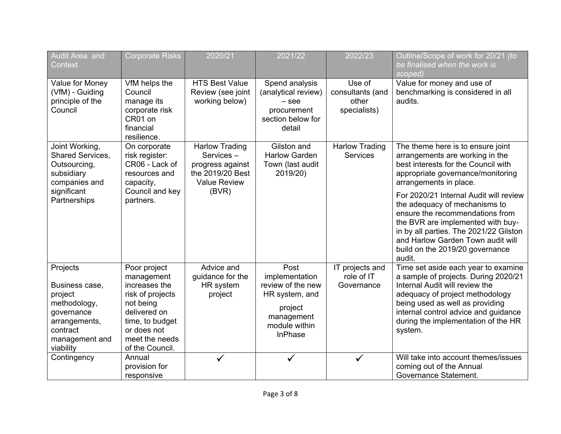| Audit Area and<br>Context                                                                                                       | <b>Corporate Risks</b>                                                                                                                                              | 2020/21                                                                                                    | 2021/22                                                                                                                   | 2022/23                                             | Outline/Scope of work for 20/21 (to<br>be finalised when the work is                                                                                                                                                                                                                                                                                                                                                                                      |
|---------------------------------------------------------------------------------------------------------------------------------|---------------------------------------------------------------------------------------------------------------------------------------------------------------------|------------------------------------------------------------------------------------------------------------|---------------------------------------------------------------------------------------------------------------------------|-----------------------------------------------------|-----------------------------------------------------------------------------------------------------------------------------------------------------------------------------------------------------------------------------------------------------------------------------------------------------------------------------------------------------------------------------------------------------------------------------------------------------------|
|                                                                                                                                 |                                                                                                                                                                     |                                                                                                            |                                                                                                                           |                                                     | scoped)                                                                                                                                                                                                                                                                                                                                                                                                                                                   |
| Value for Money<br>(VfM) - Guiding<br>principle of the<br>Council                                                               | VfM helps the<br>Council<br>manage its<br>corporate risk<br>CR01 on<br>financial<br>resilience.                                                                     | <b>HTS Best Value</b><br>Review (see joint<br>working below)                                               | Spend analysis<br>(analytical review)<br>$-$ see<br>procurement<br>section below for<br>detail                            | Use of<br>consultants (and<br>other<br>specialists) | Value for money and use of<br>benchmarking is considered in all<br>audits.                                                                                                                                                                                                                                                                                                                                                                                |
| Joint Working,<br><b>Shared Services,</b><br>Outsourcing,<br>subsidiary<br>companies and<br>significant<br>Partnerships         | On corporate<br>risk register:<br>CR06 - Lack of<br>resources and<br>capacity,<br>Council and key<br>partners.                                                      | <b>Harlow Trading</b><br>Services-<br>progress against<br>the 2019/20 Best<br><b>Value Review</b><br>(BVR) | Gilston and<br><b>Harlow Garden</b><br>Town (last audit<br>2019/20)                                                       | <b>Harlow Trading</b><br><b>Services</b>            | The theme here is to ensure joint<br>arrangements are working in the<br>best interests for the Council with<br>appropriate governance/monitoring<br>arrangements in place.<br>For 2020/21 Internal Audit will review<br>the adequacy of mechanisms to<br>ensure the recommendations from<br>the BVR are implemented with buy-<br>in by all parties. The 2021/22 Gilston<br>and Harlow Garden Town audit will<br>build on the 2019/20 governance<br>audit. |
| Projects<br>Business case,<br>project<br>methodology,<br>governance<br>arrangements,<br>contract<br>management and<br>viability | Poor project<br>management<br>increases the<br>risk of projects<br>not being<br>delivered on<br>time, to budget<br>or does not<br>meet the needs<br>of the Council. | Advice and<br>guidance for the<br>HR system<br>project                                                     | Post<br>implementation<br>review of the new<br>HR system, and<br>project<br>management<br>module within<br><b>InPhase</b> | IT projects and<br>role of IT<br>Governance         | Time set aside each year to examine<br>a sample of projects. During 2020/21<br>Internal Audit will review the<br>adequacy of project methodology<br>being used as well as providing<br>internal control advice and guidance<br>during the implementation of the HR<br>system.                                                                                                                                                                             |
| Contingency                                                                                                                     | Annual<br>provision for<br>responsive                                                                                                                               | $\checkmark$                                                                                               | $\checkmark$                                                                                                              | $\checkmark$                                        | Will take into account themes/issues<br>coming out of the Annual<br>Governance Statement.                                                                                                                                                                                                                                                                                                                                                                 |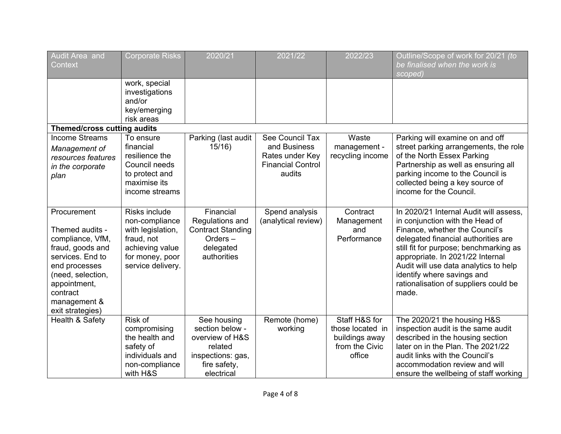| Audit Area and<br>Context                                                                                                                                                                        | <b>Corporate Risks</b>                                                                                                        | 2020/21                                                                                                         | 2021/22                                                                                  | 2022/23                                                                         | Outline/Scope of work for 20/21 (to<br>be finalised when the work is<br>scoped)                                                                                                                                                                                                                                                                           |
|--------------------------------------------------------------------------------------------------------------------------------------------------------------------------------------------------|-------------------------------------------------------------------------------------------------------------------------------|-----------------------------------------------------------------------------------------------------------------|------------------------------------------------------------------------------------------|---------------------------------------------------------------------------------|-----------------------------------------------------------------------------------------------------------------------------------------------------------------------------------------------------------------------------------------------------------------------------------------------------------------------------------------------------------|
|                                                                                                                                                                                                  | work, special<br>investigations<br>and/or<br>key/emerging<br>risk areas                                                       |                                                                                                                 |                                                                                          |                                                                                 |                                                                                                                                                                                                                                                                                                                                                           |
| Themed/cross cutting audits                                                                                                                                                                      |                                                                                                                               |                                                                                                                 |                                                                                          |                                                                                 |                                                                                                                                                                                                                                                                                                                                                           |
| <b>Income Streams</b><br>Management of<br>resources features<br>in the corporate<br>plan                                                                                                         | To ensure<br>financial<br>resilience the<br>Council needs<br>to protect and<br>maximise its<br>income streams                 | Parking (last audit<br>15/16                                                                                    | See Council Tax<br>and Business<br>Rates under Key<br><b>Financial Control</b><br>audits | Waste<br>management -<br>recycling income                                       | Parking will examine on and off<br>street parking arrangements, the role<br>of the North Essex Parking<br>Partnership as well as ensuring all<br>parking income to the Council is<br>collected being a key source of<br>income for the Council.                                                                                                           |
| Procurement<br>Themed audits -<br>compliance, VfM,<br>fraud, goods and<br>services. End to<br>end processes<br>(need, selection,<br>appointment,<br>contract<br>management &<br>exit strategies) | Risks include<br>non-compliance<br>with legislation,<br>fraud, not<br>achieving value<br>for money, poor<br>service delivery. | Financial<br>Regulations and<br><b>Contract Standing</b><br>Orders-<br>delegated<br>authorities                 | Spend analysis<br>(analytical review)                                                    | Contract<br>Management<br>and<br>Performance                                    | In 2020/21 Internal Audit will assess.<br>in conjunction with the Head of<br>Finance, whether the Council's<br>delegated financial authorities are<br>still fit for purpose; benchmarking as<br>appropriate. In 2021/22 Internal<br>Audit will use data analytics to help<br>identify where savings and<br>rationalisation of suppliers could be<br>made. |
| Health & Safety                                                                                                                                                                                  | Risk of<br>compromising<br>the health and<br>safety of<br>individuals and<br>non-compliance<br>with H&S                       | See housing<br>section below -<br>overview of H&S<br>related<br>inspections: gas,<br>fire safety,<br>electrical | Remote (home)<br>working                                                                 | Staff H&S for<br>those located in<br>buildings away<br>from the Civic<br>office | The 2020/21 the housing H&S<br>inspection audit is the same audit<br>described in the housing section<br>later on in the Plan. The 2021/22<br>audit links with the Council's<br>accommodation review and will<br>ensure the wellbeing of staff working                                                                                                    |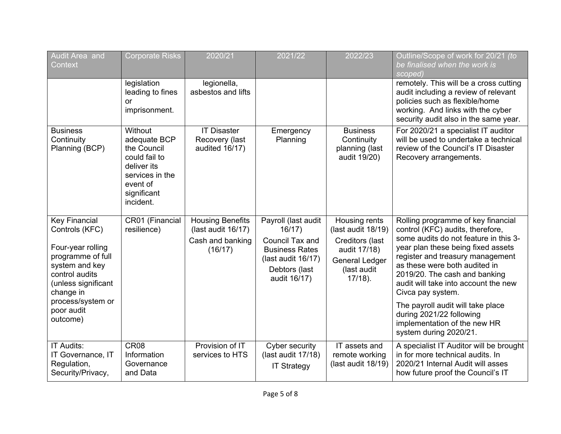| <b>Audit Area</b> and<br>Context                                                                                                                                                                        | <b>Corporate Risks</b>                                                                                                            | 2020/21                                                                      | 2021/22                                                                                                                          | 2022/23                                                                                                                      | Outline/Scope of work for 20/21 (to<br>be finalised when the work is<br>scoped)                                                                                                                                                                                                                                                                                                                                                                     |
|---------------------------------------------------------------------------------------------------------------------------------------------------------------------------------------------------------|-----------------------------------------------------------------------------------------------------------------------------------|------------------------------------------------------------------------------|----------------------------------------------------------------------------------------------------------------------------------|------------------------------------------------------------------------------------------------------------------------------|-----------------------------------------------------------------------------------------------------------------------------------------------------------------------------------------------------------------------------------------------------------------------------------------------------------------------------------------------------------------------------------------------------------------------------------------------------|
|                                                                                                                                                                                                         | legislation<br>leading to fines<br>or<br>imprisonment.                                                                            | legionella,<br>asbestos and lifts                                            |                                                                                                                                  |                                                                                                                              | remotely. This will be a cross cutting<br>audit including a review of relevant<br>policies such as flexible/home<br>working. And links with the cyber<br>security audit also in the same year.                                                                                                                                                                                                                                                      |
| <b>Business</b><br>Continuity<br>Planning (BCP)                                                                                                                                                         | Without<br>adequate BCP<br>the Council<br>could fail to<br>deliver its<br>services in the<br>event of<br>significant<br>incident. | <b>IT Disaster</b><br>Recovery (last<br>audited 16/17)                       | Emergency<br>Planning                                                                                                            | <b>Business</b><br>Continuity<br>planning (last<br>audit 19/20)                                                              | For 2020/21 a specialist IT auditor<br>will be used to undertake a technical<br>review of the Council's IT Disaster<br>Recovery arrangements.                                                                                                                                                                                                                                                                                                       |
| <b>Key Financial</b><br>Controls (KFC)<br>Four-year rolling<br>programme of full<br>system and key<br>control audits<br>(unless significant<br>change in<br>process/system or<br>poor audit<br>outcome) | CR01 (Financial<br>resilience)                                                                                                    | <b>Housing Benefits</b><br>(last audit 16/17)<br>Cash and banking<br>(16/17) | Payroll (last audit<br>16/17)<br>Council Tax and<br><b>Business Rates</b><br>(last audit 16/17)<br>Debtors (last<br>audit 16/17) | Housing rents<br>(last audit 18/19)<br>Creditors (last<br>audit 17/18)<br><b>General Ledger</b><br>(last audit<br>$17/18$ ). | Rolling programme of key financial<br>control (KFC) audits, therefore,<br>some audits do not feature in this 3-<br>year plan these being fixed assets<br>register and treasury management<br>as these were both audited in<br>2019/20. The cash and banking<br>audit will take into account the new<br>Civca pay system.<br>The payroll audit will take place<br>during 2021/22 following<br>implementation of the new HR<br>system during 2020/21. |
| <b>IT Audits:</b><br>IT Governance, IT<br>Regulation,<br>Security/Privacy,                                                                                                                              | CR <sub>08</sub><br>Information<br>Governance<br>and Data                                                                         | Provision of IT<br>services to HTS                                           | <b>Cyber security</b><br>(last audit 17/18)<br><b>IT Strategy</b>                                                                | IT assets and<br>remote working<br>(last audit 18/19)                                                                        | A specialist IT Auditor will be brought<br>in for more technical audits. In<br>2020/21 Internal Audit will asses<br>how future proof the Council's IT                                                                                                                                                                                                                                                                                               |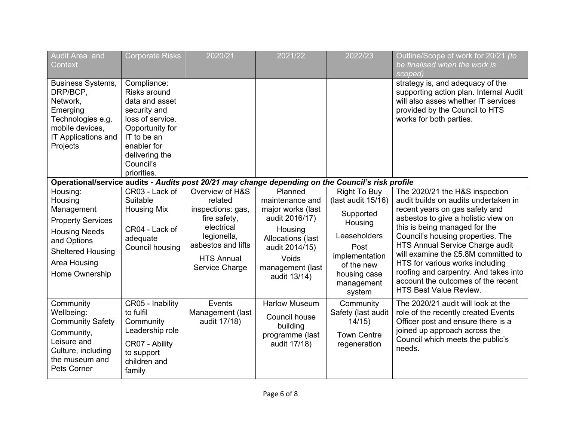| Audit Area and<br>Context                                                                                                                                          | <b>Corporate Risks</b>                                                                                                                                                           | 2020/21                                                                                                                                                   | 2021/22                                                                                                                                                          | 2022/23                                                                                                                                                           | Outline/Scope of work for 20/21 (to<br>be finalised when the work is<br>scoped)                                                                                                                                                                                                                                                                                                                                                                    |
|--------------------------------------------------------------------------------------------------------------------------------------------------------------------|----------------------------------------------------------------------------------------------------------------------------------------------------------------------------------|-----------------------------------------------------------------------------------------------------------------------------------------------------------|------------------------------------------------------------------------------------------------------------------------------------------------------------------|-------------------------------------------------------------------------------------------------------------------------------------------------------------------|----------------------------------------------------------------------------------------------------------------------------------------------------------------------------------------------------------------------------------------------------------------------------------------------------------------------------------------------------------------------------------------------------------------------------------------------------|
| <b>Business Systems,</b><br>DRP/BCP,<br>Network,<br>Emerging<br>Technologies e.g.<br>mobile devices.<br>IT Applications and<br>Projects                            | Compliance:<br>Risks around<br>data and asset<br>security and<br>loss of service.<br>Opportunity for<br>IT to be an<br>enabler for<br>delivering the<br>Council's<br>priorities. |                                                                                                                                                           |                                                                                                                                                                  |                                                                                                                                                                   | strategy is, and adequacy of the<br>supporting action plan. Internal Audit<br>will also asses whether IT services<br>provided by the Council to HTS<br>works for both parties.                                                                                                                                                                                                                                                                     |
|                                                                                                                                                                    |                                                                                                                                                                                  | Operational/service audits - Audits post 20/21 may change depending on the Council's risk profile                                                         |                                                                                                                                                                  |                                                                                                                                                                   |                                                                                                                                                                                                                                                                                                                                                                                                                                                    |
| Housing:<br>Housing<br>Management<br><b>Property Services</b><br><b>Housing Needs</b><br>and Options<br><b>Sheltered Housing</b><br>Area Housing<br>Home Ownership | CR03 - Lack of<br>Suitable<br><b>Housing Mix</b><br>CR04 - Lack of<br>adequate<br>Council housing                                                                                | Overview of H&S<br>related<br>inspections: gas,<br>fire safety,<br>electrical<br>legionella,<br>asbestos and lifts<br><b>HTS Annual</b><br>Service Charge | Planned<br>maintenance and<br>major works (last<br>audit 2016/17)<br>Housing<br>Allocations (last<br>audit 2014/15)<br>Voids<br>management (last<br>audit 13/14) | <b>Right To Buy</b><br>(last audit 15/16)<br>Supported<br>Housing<br>Leaseholders<br>Post<br>implementation<br>of the new<br>housing case<br>management<br>system | The 2020/21 the H&S inspection<br>audit builds on audits undertaken in<br>recent years on gas safety and<br>asbestos to give a holistic view on<br>this is being managed for the<br>Council's housing properties. The<br>HTS Annual Service Charge audit<br>will examine the £5.8M committed to<br>HTS for various works including<br>roofing and carpentry. And takes into<br>account the outcomes of the recent<br><b>HTS Best Value Review.</b> |
| Community<br>Wellbeing:<br><b>Community Safety</b><br>Community,<br>Leisure and<br>Culture, including<br>the museum and<br>Pets Corner                             | CR05 - Inability<br>to fulfil<br>Community<br>Leadership role<br>CR07 - Ability<br>to support<br>children and<br>family                                                          | Events<br>Management (last<br>audit 17/18)                                                                                                                | <b>Harlow Museum</b><br>Council house<br>building<br>programme (last<br>audit 17/18)                                                                             | Community<br>Safety (last audit<br>14/15)<br><b>Town Centre</b><br>regeneration                                                                                   | The 2020/21 audit will look at the<br>role of the recently created Events<br>Officer post and ensure there is a<br>joined up approach across the<br>Council which meets the public's<br>needs.                                                                                                                                                                                                                                                     |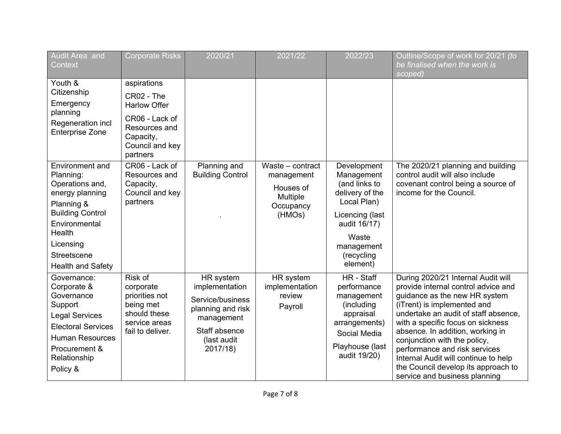| Audit Area and<br>Context                                                                                                                                                                             | <b>Corporate Risks</b>                                                                                                          | 2020/21                                                                                                                        | 2021/22                                                                        | 2022/23                                                                                                                                                          | Outline/Scope of work for 20/21 (to<br>be finalised when the work is<br>scoped)                                                                                                                                                                                                                                                                                                                                                             |
|-------------------------------------------------------------------------------------------------------------------------------------------------------------------------------------------------------|---------------------------------------------------------------------------------------------------------------------------------|--------------------------------------------------------------------------------------------------------------------------------|--------------------------------------------------------------------------------|------------------------------------------------------------------------------------------------------------------------------------------------------------------|---------------------------------------------------------------------------------------------------------------------------------------------------------------------------------------------------------------------------------------------------------------------------------------------------------------------------------------------------------------------------------------------------------------------------------------------|
| Youth &<br>Citizenship<br>Emergency<br>planning<br>Regeneration incl<br><b>Enterprise Zone</b>                                                                                                        | aspirations<br>CR02 - The<br><b>Harlow Offer</b><br>CR06 - Lack of<br>Resources and<br>Capacity,<br>Council and key<br>partners |                                                                                                                                |                                                                                |                                                                                                                                                                  |                                                                                                                                                                                                                                                                                                                                                                                                                                             |
| Environment and<br>Planning:<br>Operations and,<br>energy planning<br>Planning &<br><b>Building Control</b><br>Environmental<br><b>Health</b><br>Licensing<br>Streetscene<br><b>Health and Safety</b> | CR06 - Lack of<br>Resources and<br>Capacity,<br>Council and key<br>partners                                                     | Planning and<br><b>Building Control</b>                                                                                        | Waste - contract<br>management<br>Houses of<br>Multiple<br>Occupancy<br>(HMOs) | Development<br>Management<br>(and links to<br>delivery of the<br>Local Plan)<br>Licencing (last<br>audit 16/17)<br>Waste<br>management<br>(recycling<br>element) | The 2020/21 planning and building<br>control audit will also include<br>covenant control being a source of<br>income for the Council.                                                                                                                                                                                                                                                                                                       |
| Governance:<br>Corporate &<br>Governance<br>Support<br><b>Legal Services</b><br><b>Electoral Services</b><br><b>Human Resources</b><br>Procurement &<br>Relationship<br>Policy &                      | Risk of<br>corporate<br>priorities not<br>being met<br>should these<br>service areas<br>fail to deliver.                        | HR system<br>implementation<br>Service/business<br>planning and risk<br>management<br>Staff absence<br>(last audit<br>2017/18) | HR system<br>implementation<br>review<br>Payroll                               | HR - Staff<br>performance<br>management<br>(including<br>appraisal<br>arrangements)<br>Social Media<br>Playhouse (last<br>audit 19/20)                           | During 2020/21 Internal Audit will<br>provide internal control advice and<br>guidance as the new HR system<br>(iTrent) is implemented and<br>undertake an audit of staff absence.<br>with a specific focus on sickness<br>absence. In addition, working in<br>conjunction with the policy,<br>performance and risk services<br>Internal Audit will continue to help<br>the Council develop its approach to<br>service and business planning |